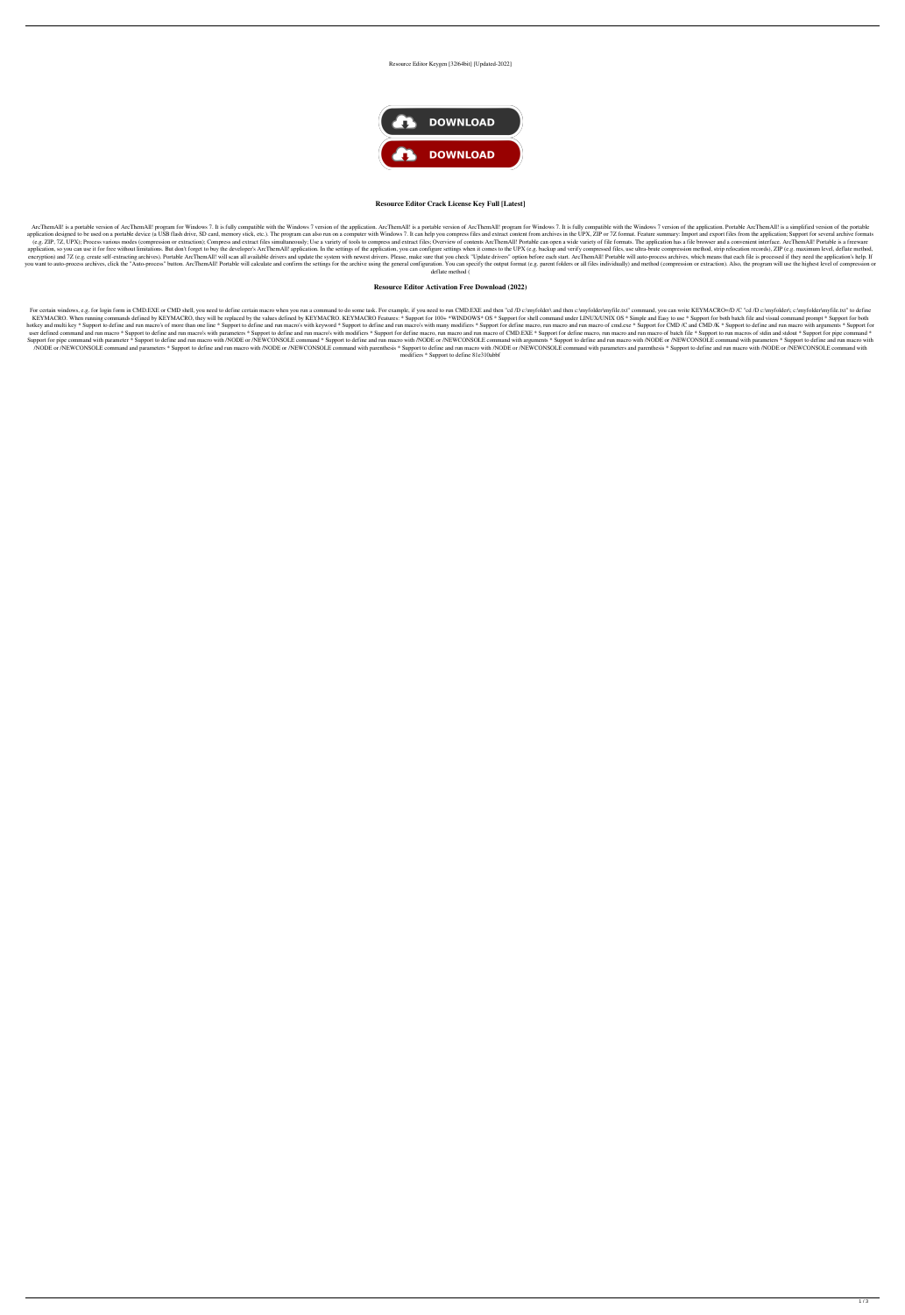#### Resource Editor Keygen [32|64bit] [Updated-2022]



### **Resource Editor Crack License Key Full [Latest]**

ArcThemAll! is a portable version of ArcThemAll! program for Windows 7. It is fully compatible with the Windows 7 version of the application. ArcThemAll! is a portable version of ArcThemAll! program for Windows 7. It is fu application designed to be used on a portable device (a USB flash drive, SD card, memory stick, etc.). The program can also run on a computer with Windows 7. It can help you compress files and extract content from archives (e.g. ZIP, 7Z, UPX); Process various modes (compression or extraction); Compress and extract files simultaneously; Use a variety of tools to compress and extract files; Overview of contents ArcThemAll! Portable can open a application, so you can use it for free without limitations. But don't forget to buy the developer's ArcThemAll! application. In the settings of the application, you can configure settings when it comes to the UPX (e.g. ba encryption) and 7Z (e.g. create self-extracting archives). Portable ArcThemAll! will scan all available drivers and update the system with newest drivers. Please, make sure that you check "Update drivers" option before eac you want to auto-process archives, click the "Auto-process" button. ArcThemAll! Portable will calculate and confirm the settings for the archive using the general configuration. You can specify the output format (e.g. pare deflate method (

For certain windows, e.g. for login form in CMD.EXE or CMD shell, you need to define certain macro when you run a command to do some task. For example, if you need to run CMD.EXE and then "cd /D c:\myfolder\myfile.txt" com KEYMACRO. When running commands defined by KEYMACRO, they will be replaced by the values defined by KEYMACRO. KEYMACRO Features: \* Support for 100+ \*WINDOWS\* OS \* Support for shell command under LINUX/UNIX OS \* Simple and hotkey and multi key \* Support to define and run macro's of more than one line \* Support to define and run macro's with keyword \* Support to define and run macro's with many modifiers \* Support for define macro, run macro user defined command and run macro \* Support to define and run macro's with parameters \* Support to define and run macro's with modifiers \* Support for define macro, run macro of CMD.EXE \* Support for define macro, run mac Support for pipe command with parameter \* Support to define and run macro with /NODE or /NEWCONSOLE command \* Support to define and run macro with /NODE or /NEWCONSOLE command with arguments \* Support to define and run mac /NODE or /NEWCONSOLE command and parameters \* Support to define and run macro with /NODE or /NEWCONSOLE command with parenthesis \* Support to define and run macro with /NODE or /NEWCONSOLE command with parameters and paren modifiers \* Support to define 81e310abbf

## **Resource Editor Activation Free Download (2022)**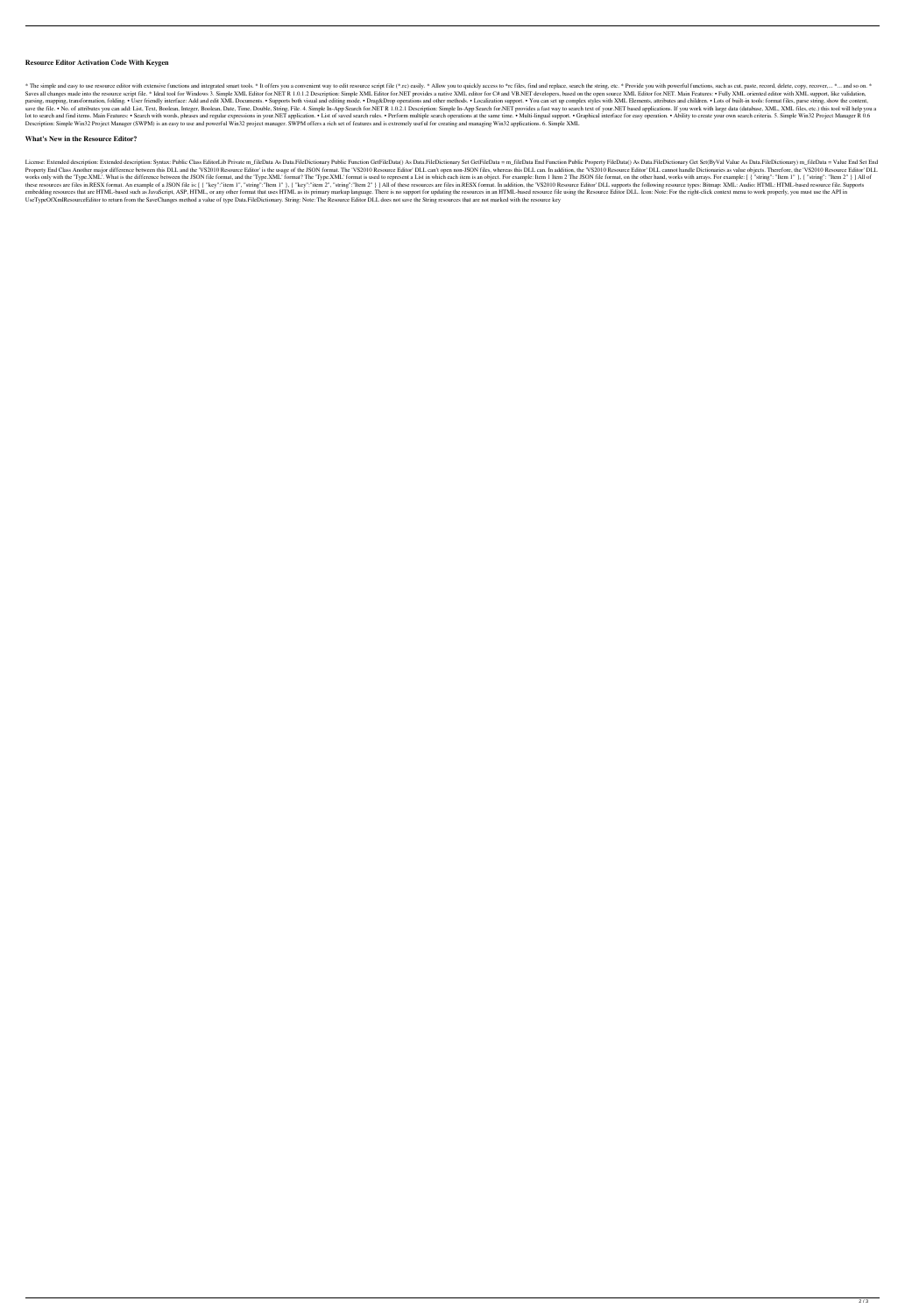### **Resource Editor Activation Code With Keygen**

\* The simple and easy to use resource editor with extensive functions and integrated smart tools. \* It offers you a convenient way to edit resource script file (\*.rc) easily. \* Allow you to quickly access to \*rc files, fin Saves all changes made into the resource script file. \* Ideal tool for Windows 3. Simple XML Editor for.NET R 1.0.1.2 Description: Simple XML Editor for.NET provides a native XML editor for C# and VB.NET developers, based parsing, mapping, transformation, folding. • User friendly interface: Add and edit XML Documents. • Supports both visual and editing mode. • Drag&Drop operations and other methods. • Localization support. • You can set up save the file. . No. of attributes you can add: List, Text, Boolean, Integer, Boolean, Date, Time, Double, String, File. 4. Simple In-App Search for.NET R 1.0.2.1 Description: Simple In-App Search for.NET provides a fast w lot to search and find items. Main Features: • Search with words, phrases and regular expressions in your.NET application. • List of saved search rules. • Perform multiple search operations at the same time. • Multi-lingua Description: Simple Win32 Project Manager (SWPM) is an easy to use and powerful Win32 project manager. SWPM offers a rich set of features and is extremely useful for creating and managing Win32 applications. 6. Simple XML

License: Extended description: Extended description: Syntax: Public Class EditorLib Private m\_fileData As Data.FileDictionary Public Function GetFileData () As Data.FileDictionary Set GetFileData End Function Public Proper Property End Class Another major difference between this DLL and the 'VS2010 Resource Editor' is the usage of the JSON format. The 'VS2010 Resource Editor' DLL can, In addition, the 'VS2010 Resource Editor' DLL can, In add works only with the 'Type.XML'. What is the difference between the JSON file format, and the 'Type.XML' format? The 'Type.XML' format is used to represent a List in which each item is an object. For example: Item 1 Item 2 these resources are files in.RESX format. An example of a JSON file is: [ { "key":"item 1", "string":"Item 1", 1, "string":"Item 1"}, { "key":"item 2"}] All of these resources are files in.RESX format. In addition, the 'VS embedding resources that are HTML-based such as JavaScript, ASP, HTML, or any other format that uses HTML as its primary markup language. There is no support for updating the resources in an HTML-based resource file using UseTypeOfXmlResourceEditor to return from the SaveChanges method a value of type Data.FileDictionary. String: Note: The Resource Editor DLL does not save the String resources that are not marked with the resource key

### **What's New in the Resource Editor?**